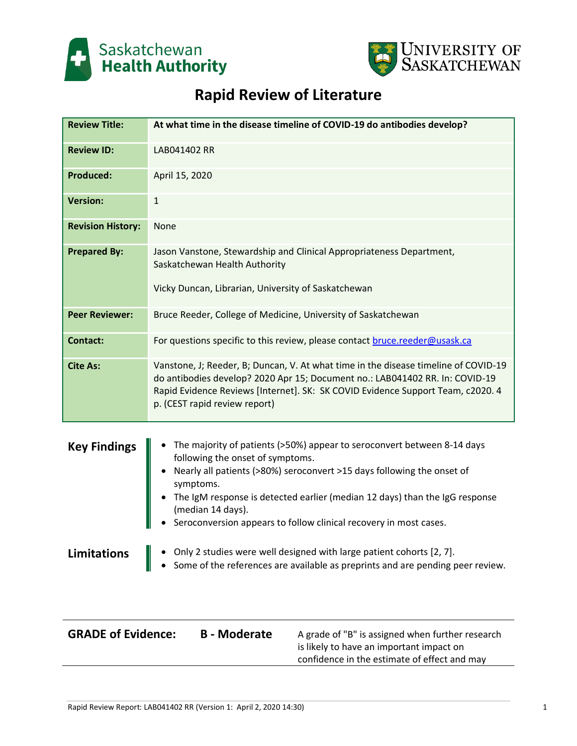



# **Rapid Review of Literature**

| <b>Review Title:</b>     | At what time in the disease timeline of COVID-19 do antibodies develop?                                                                                                                                                                                                                 |
|--------------------------|-----------------------------------------------------------------------------------------------------------------------------------------------------------------------------------------------------------------------------------------------------------------------------------------|
| <b>Review ID:</b>        | LAB041402 RR                                                                                                                                                                                                                                                                            |
| <b>Produced:</b>         | April 15, 2020                                                                                                                                                                                                                                                                          |
| <b>Version:</b>          | $\mathbf{1}$                                                                                                                                                                                                                                                                            |
| <b>Revision History:</b> | None                                                                                                                                                                                                                                                                                    |
| <b>Prepared By:</b>      | Jason Vanstone, Stewardship and Clinical Appropriateness Department,<br>Saskatchewan Health Authority                                                                                                                                                                                   |
|                          | Vicky Duncan, Librarian, University of Saskatchewan                                                                                                                                                                                                                                     |
| <b>Peer Reviewer:</b>    | Bruce Reeder, College of Medicine, University of Saskatchewan                                                                                                                                                                                                                           |
| <b>Contact:</b>          | For questions specific to this review, please contact bruce.reeder@usask.ca                                                                                                                                                                                                             |
| <b>Cite As:</b>          | Vanstone, J; Reeder, B; Duncan, V. At what time in the disease timeline of COVID-19<br>do antibodies develop? 2020 Apr 15; Document no.: LAB041402 RR. In: COVID-19<br>Rapid Evidence Reviews [Internet]. SK: SK COVID Evidence Support Team, c2020. 4<br>p. (CEST rapid review report) |
| <b>Key Findings</b>      | The majority of patients (>50%) appear to seroconvert between 8-14 days<br>following the onset of symptoms.                                                                                                                                                                             |

- Nearly all patients (>80%) seroconvert >15 days following the onset of symptoms.
- The IgM response is detected earlier (median 12 days) than the IgG response (median 14 days).
- Seroconversion appears to follow clinical recovery in most cases.

**Limitations**  $\|\cdot\|$  only 2 studies were well designed with large patient cohorts [2, 7].

• Some of the references are available as preprints and are pending peer review.

| <b>GRADE of Evidence:</b> | <b>B</b> - Moderate | A grade of "B" is assigned when further research |
|---------------------------|---------------------|--------------------------------------------------|
|                           |                     | is likely to have an important impact on         |
|                           |                     | confidence in the estimate of effect and may     |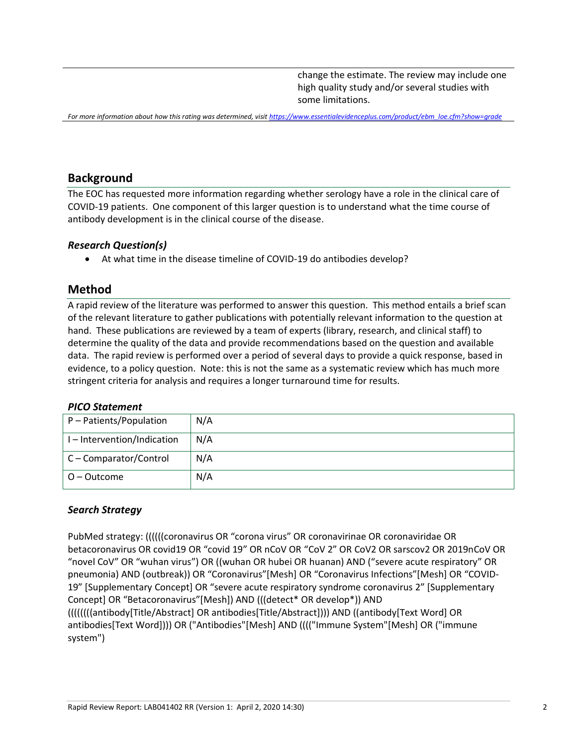change the estimate. The review may include one high quality study and/or several studies with some limitations.

*For more information about how this rating was determined, visit [https://www.essentialevidenceplus.com/product/ebm\\_loe.cfm?show=grade](https://www.essentialevidenceplus.com/product/ebm_loe.cfm?show=grade)*

## **Background**

The EOC has requested more information regarding whether serology have a role in the clinical care of COVID-19 patients. One component of this larger question is to understand what the time course of antibody development is in the clinical course of the disease.

#### *Research Question(s)*

• At what time in the disease timeline of COVID-19 do antibodies develop?

## **Method**

A rapid review of the literature was performed to answer this question. This method entails a brief scan of the relevant literature to gather publications with potentially relevant information to the question at hand. These publications are reviewed by a team of experts (library, research, and clinical staff) to determine the quality of the data and provide recommendations based on the question and available data. The rapid review is performed over a period of several days to provide a quick response, based in evidence, to a policy question. Note: this is not the same as a systematic review which has much more stringent criteria for analysis and requires a longer turnaround time for results.

#### *PICO Statement*

| P - Patients/Population   | N/A |
|---------------------------|-----|
| I-Intervention/Indication | N/A |
| C - Comparator/Control    | N/A |
| O – Outcome               | N/A |

#### *Search Strategy*

PubMed strategy: ((((((coronavirus OR "corona virus" OR coronavirinae OR coronaviridae OR betacoronavirus OR covid19 OR "covid 19" OR nCoV OR "CoV 2" OR CoV2 OR sarscov2 OR 2019nCoV OR "novel CoV" OR "wuhan virus") OR ((wuhan OR hubei OR huanan) AND ("severe acute respiratory" OR pneumonia) AND (outbreak)) OR "Coronavirus"[Mesh] OR "Coronavirus Infections"[Mesh] OR "COVID-19" [Supplementary Concept] OR "severe acute respiratory syndrome coronavirus 2" [Supplementary Concept] OR "Betacoronavirus"[Mesh]) AND (((detect\* OR develop\*)) AND ((((((((antibody[Title/Abstract] OR antibodies[Title/Abstract]))) AND ((antibody[Text Word] OR antibodies[Text Word]))) OR ("Antibodies"[Mesh] AND (((("Immune System"[Mesh] OR ("immune system")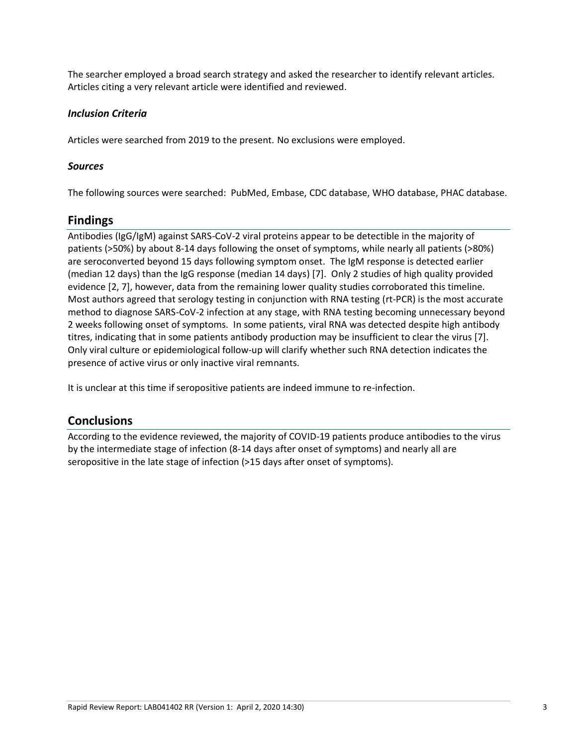The searcher employed a broad search strategy and asked the researcher to identify relevant articles. Articles citing a very relevant article were identified and reviewed.

#### *Inclusion Criteria*

Articles were searched from 2019 to the present. No exclusions were employed.

#### *Sources*

The following sources were searched: PubMed, Embase, CDC database, WHO database, PHAC database.

## **Findings**

Antibodies (IgG/IgM) against SARS-CoV-2 viral proteins appear to be detectible in the majority of patients (>50%) by about 8-14 days following the onset of symptoms, while nearly all patients (>80%) are seroconverted beyond 15 days following symptom onset. The IgM response is detected earlier (median 12 days) than the IgG response (median 14 days) [7]. Only 2 studies of high quality provided evidence [2, 7], however, data from the remaining lower quality studies corroborated this timeline. Most authors agreed that serology testing in conjunction with RNA testing (rt-PCR) is the most accurate method to diagnose SARS-CoV-2 infection at any stage, with RNA testing becoming unnecessary beyond 2 weeks following onset of symptoms. In some patients, viral RNA was detected despite high antibody titres, indicating that in some patients antibody production may be insufficient to clear the virus [7]. Only viral culture or epidemiological follow-up will clarify whether such RNA detection indicates the presence of active virus or only inactive viral remnants.

It is unclear at this time if seropositive patients are indeed immune to re-infection.

## **Conclusions**

According to the evidence reviewed, the majority of COVID-19 patients produce antibodies to the virus by the intermediate stage of infection (8-14 days after onset of symptoms) and nearly all are seropositive in the late stage of infection (>15 days after onset of symptoms).